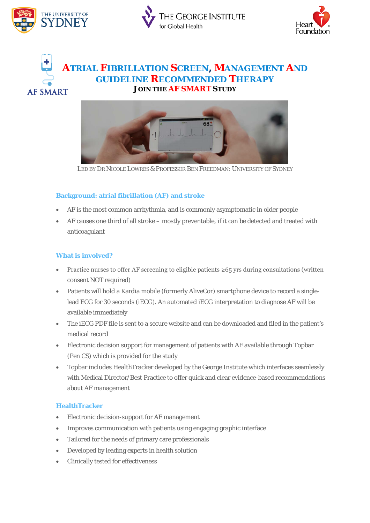





## **ATRIAL FIBRILLATION SCREEN, MANAGEMENT AND GUIDELINE RECOMMENDED THERAPY JOIN THE AF SMART STUDY AF SMART**



*LED BY DR NICOLE LOWRES & PROFESSOR BEN FREEDMAN: UNIVERSITY OF SYDNEY*

### **Background: atrial fibrillation (AF) and stroke**

- AF is the most common arrhythmia, and is commonly asymptomatic in older people
- AF causes one third of all stroke mostly preventable, if it can be detected and treated with anticoagulant

#### **What is involved?**

- Practice nurses to offer AF screening to eligible patients  $\geq 65$  yrs during consultations (written consent NOT required)
- Patients will hold a Kardia mobile (formerly AliveCor) smartphone device to record a singlelead ECG for 30 seconds (iECG). An automated iECG interpretation to diagnose AF will be available immediately
- The iECG PDF file is sent to a secure website and can be downloaded and filed in the patient's medical record
- Electronic decision support for management of patients with AF available through Topbar (Pen CS) which is provided for the study
- Topbar includes HealthTracker developed by the George Institute which interfaces seamlessly with Medical Director/Best Practice to offer quick and clear evidence-based recommendations about AF management

#### **HealthTracker**

- Electronic decision-support for AF management
- Improves communication with patients using engaging graphic interface
- Tailored for the needs of primary care professionals
- Developed by leading experts in health solution
- Clinically tested for effectiveness